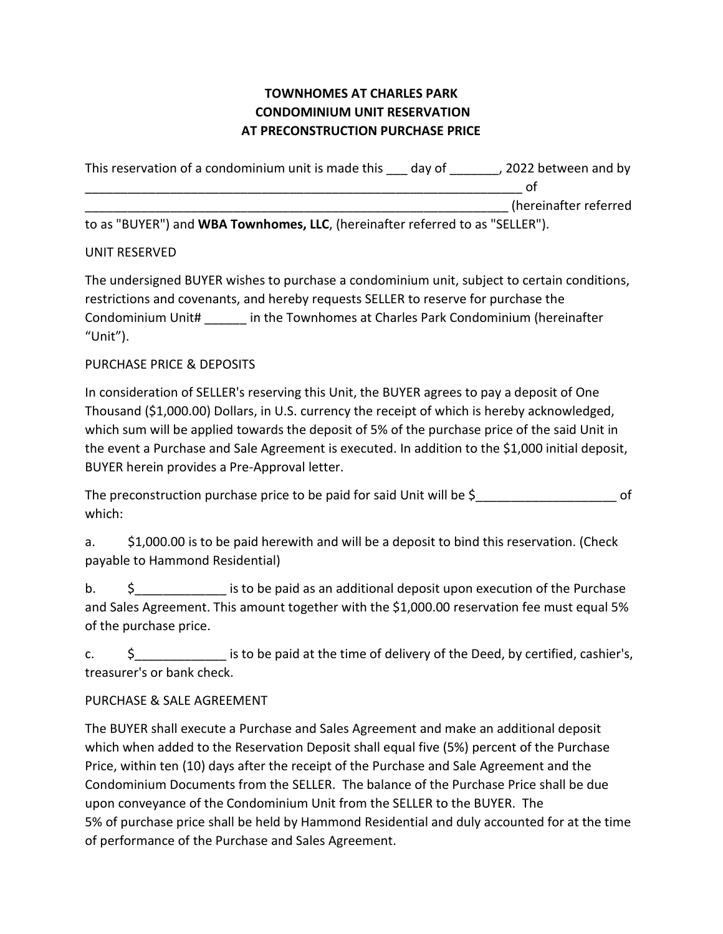# **TOWNHOMES AT CHARLES PARK CONDOMINIUM UNIT RESERVATION AT PRECONSTRUCTION PURCHASE PRICE**

| This reservation of a condominium unit is made this                                                                                                                                                                                                                                                                       | dav of | . 2022 between and by |
|---------------------------------------------------------------------------------------------------------------------------------------------------------------------------------------------------------------------------------------------------------------------------------------------------------------------------|--------|-----------------------|
|                                                                                                                                                                                                                                                                                                                           |        |                       |
|                                                                                                                                                                                                                                                                                                                           |        | (hereinafter referred |
| $\mathbf{L}_{\mathbf{z}}$ as $\mathbf{E}$ $\mathbf{D}$ $\mathbf{E}$ and $\mathbf{E}$ $\mathbf{E}$ and $\mathbf{E}$ and $\mathbf{E}$ and $\mathbf{E}$ and $\mathbf{E}$ and $\mathbf{E}$ and $\mathbf{E}$ $\mathbf{E}$ $\mathbf{E}$ $\mathbf{E}$ $\mathbf{E}$ $\mathbf{E}$ $\mathbf{E}$ $\mathbf{E}$ $\mathbf{E}$ $\mathbf$ |        |                       |

to as "BUYER") and **WBA Townhomes, LLC**, (hereinafter referred to as "SELLER").

#### UNIT RESERVED

The undersigned BUYER wishes to purchase a condominium unit, subject to certain conditions, restrictions and covenants, and hereby requests SELLER to reserve for purchase the Condominium Unit# \_\_\_\_\_\_ in the Townhomes at Charles Park Condominium (hereinafter "Unit").

# PURCHASE PRICE & DEPOSITS

In consideration of SELLER's reserving this Unit, the BUYER agrees to pay a deposit of One Thousand (\$1,000.00) Dollars, in U.S. currency the receipt of which is hereby acknowledged, which sum will be applied towards the deposit of 5% of the purchase price of the said Unit in the event a Purchase and Sale Agreement is executed. In addition to the \$1,000 initial deposit, BUYER herein provides a Pre-Approval letter.

The preconstruction purchase price to be paid for said Unit will be  $\zeta$ which:

a. \$1,000.00 is to be paid herewith and will be a deposit to bind this reservation. (Check payable to Hammond Residential)

b.  $\frac{1}{2}$  is to be paid as an additional deposit upon execution of the Purchase and Sales Agreement. This amount together with the \$1,000.00 reservation fee must equal 5% of the purchase price.

c.  $\sim$  \$ section is to be paid at the time of delivery of the Deed, by certified, cashier's, treasurer's or bank check.

# PURCHASE & SALE AGREEMENT

The BUYER shall execute a Purchase and Sales Agreement and make an additional deposit which when added to the Reservation Deposit shall equal five (5%) percent of the Purchase Price, within ten (10) days after the receipt of the Purchase and Sale Agreement and the Condominium Documents from the SELLER. The balance of the Purchase Price shall be due upon conveyance of the Condominium Unit from the SELLER to the BUYER. The 5% of purchase price shall be held by Hammond Residential and duly accounted for at the time of performance of the Purchase and Sales Agreement.